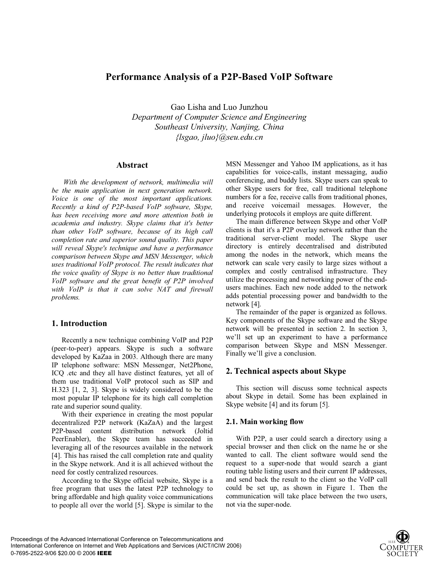# **Performance Analysis of a P2P-Based VoIP Software**

Gao Lisha and Luo Junzhou *Department of Computer Science and Engineering Southeast University, Nanjing, China {lsgao, jluo}@seu.edu.cn*

### **Abstract**

*With the development of network, multimedia will be the main application in next generation network. Voice is one of the most important applications. Recently a kind of P2P-based VoIP software, Skype, has been receiving more and more attention both in academia and industry. Skype claims that it's better than other VoIP software, because of its high call completion rate and superior sound quality. This paper will reveal Skype's technique and have a performance comparison between Skype and MSN Messenger, which uses traditional VoIP protocol. The result indicates that the voice quality of Skype is no better than traditional VoIP software and the great benefit of P2P involved with VoIP is that it can solve NAT and firewall problems.* 

## **1. Introduction**

Recently a new technique combining VoIP and P2P (peer-to-peer) appears. Skype is such a software developed by KaZaa in 2003. Although there are many IP telephone software: MSN Messenger, Net2Phone, ICQ .etc and they all have distinct features, yet all of them use traditional VoIP protocol such as SIP and H.323 [1, 2, 3]. Skype is widely considered to be the most popular IP telephone for its high call completion rate and superior sound quality.

With their experience in creating the most popular decentralized P2P network (KaZaA) and the largest P2P-based content distribution network (Joltid PeerEnabler), the Skype team has succeeded in leveraging all of the resources available in the network [4]. This has raised the call completion rate and quality in the Skype network. And it is all achieved without the need for costly centralized resources.

According to the Skype official website, Skype is a free program that uses the latest P2P technology to bring affordable and high quality voice communications to people all over the world [5]. Skype is similar to the MSN Messenger and Yahoo IM applications, as it has capabilities for voice-calls, instant messaging, audio conferencing, and buddy lists. Skype users can speak to other Skype users for free, call traditional telephone numbers for a fee, receive calls from traditional phones, and receive voicemail messages. However, the underlying protocols it employs are quite different.

The main difference between Skype and other VoIP clients is that it's a P2P overlay network rather than the traditional server-client model. The Skype user directory is entirely decentralised and distributed among the nodes in the network, which means the network can scale very easily to large sizes without a complex and costly centralised infrastructure. They utilize the processing and networking power of the endusers machines. Each new node added to the network adds potential processing power and bandwidth to the network [4].

The remainder of the paper is organized as follows. Key components of the Skype software and the Skype network will be presented in section 2. In section 3, we'll set up an experiment to have a performance comparison between Skype and MSN Messenger. Finally we'll give a conclusion.

## **2. Technical aspects about Skype**

This section will discuss some technical aspects about Skype in detail. Some has been explained in Skype website [4] and its forum [5].

#### **2.1. Main working flow**

With P2P, a user could search a directory using a special browser and then click on the name he or she wanted to call. The client software would send the request to a super-node that would search a giant routing table listing users and their current IP addresses, and send back the result to the client so the VoIP call could be set up, as shown in Figure 1. Then the communication will take place between the two users, not via the super-node.

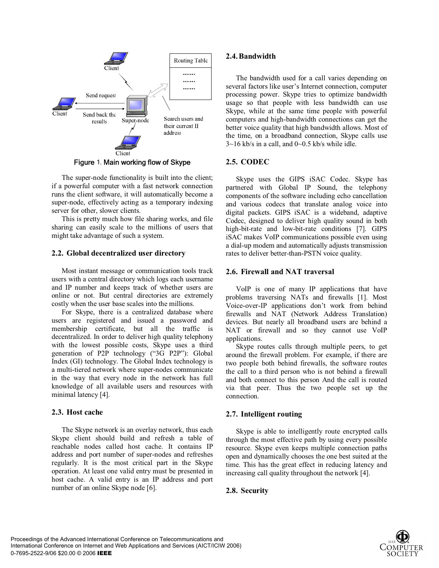

Figure 1. Main working flow of Skype

The super-node functionality is built into the client; if a powerful computer with a fast network connection runs the client software, it will automatically become a super-node, effectively acting as a temporary indexing server for other, slower clients.

This is pretty much how file sharing works, and file sharing can easily scale to the millions of users that might take advantage of such a system.

#### **2.2. Global decentralized user directory**

Most instant message or communication tools track users with a central directory which logs each username and IP number and keeps track of whether users are online or not. But central directories are extremely costly when the user base scales into the millions.

For Skype, there is a centralized database where users are registered and issued a password and membership certificate, but all the traffic is decentralized. In order to deliver high quality telephony with the lowest possible costs, Skype uses a third generation of P2P technology ("3G P2P"): Global Index (GI) technology. The Global Index technology is a multi-tiered network where super-nodes communicate in the way that every node in the network has full knowledge of all available users and resources with minimal latency [4].

#### **2.3. Host cache**

The Skype network is an overlay network, thus each Skype client should build and refresh a table of reachable nodes called host cache. It contains IP address and port number of super-nodes and refreshes regularly. It is the most critical part in the Skype operation. At least one valid entry must be presented in host cache. A valid entry is an IP address and port number of an online Skype node [6].

#### **2.4.Bandwidth**

The bandwidth used for a call varies depending on several factors like user's Internet connection, computer processing power. Skype tries to optimize bandwidth usage so that people with less bandwidth can use Skype, while at the same time people with powerful computers and high-bandwidth connections can get the better voice quality that high bandwidth allows. Most of the time, on a broadband connection, Skype calls use  $3{\sim}16$  kb/s in a call, and  $0{\sim}0.5$  kb/s while idle.

#### **2.5. CODEC**

Skype uses the GIPS iSAC Codec. Skype has partnered with Global IP Sound, the telephony components of the software including echo cancellation and various codecs that translate analog voice into digital packets. GIPS iSAC is a wideband, adaptive Codec, designed to deliver high quality sound in both high-bit-rate and low-bit-rate conditions [7]. GIPS iSAC makes VoIP communications possible even using a dial-up modem and automatically adjusts transmission rates to deliver better-than-PSTN voice quality.

#### **2.6. Firewall and NAT traversal**

VoIP is one of many IP applications that have problems traversing NATs and firewalls [1]. Most Voice-over-IP applications don't work from behind firewalls and NAT (Network Address Translation) devices. But nearly all broadband users are behind a NAT or firewall and so they cannot use VoIP applications.

Skype routes calls through multiple peers, to get around the firewall problem. For example, if there are two people both behind firewalls, the software routes the call to a third person who is not behind a firewall and both connect to this person And the call is routed via that peer. Thus the two people set up the connection.

#### **2.7. Intelligent routing**

Skype is able to intelligently route encrypted calls through the most effective path by using every possible resource. Skype even keeps multiple connection paths open and dynamically chooses the one best suited at the time. This has the great effect in reducing latency and increasing call quality throughout the network [4].

#### **2.8. Security**

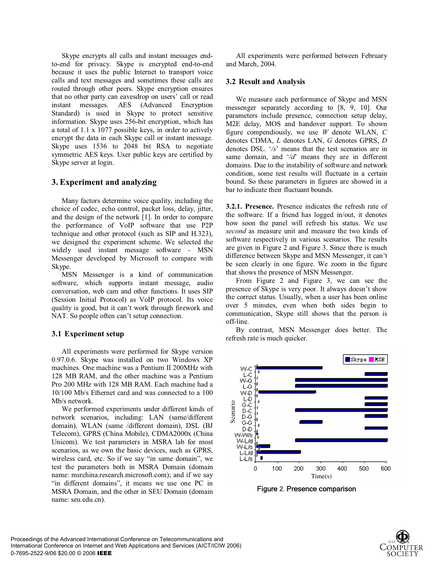Skype encrypts all calls and instant messages endto-end for privacy. Skype is encrypted end-to-end because it uses the public Internet to transport voice calls and text messages and sometimes these calls are routed through other peers. Skype encryption ensures that no other party can eavesdrop on users' call or read instant messages. AES (Advanced Encryption Standard) is used in Skype to protect sensitive information. Skype uses 256-bit encryption, which has a total of 1.1 x 1077 possible keys, in order to actively encrypt the data in each Skype call or instant message. Skype uses 1536 to 2048 bit RSA to negotiate symmetric AES keys. User public keys are certified by Skype server at login.

### **3. Experiment and analyzing**

Many factors determine voice quality, including the choice of codec, echo control, packet loss, delay, jitter, and the design of the network [1]. In order to compare the performance of VoIP software that use P2P technique and other protocol (such as SIP and H.323), we designed the experiment scheme. We selected the widely used instant message software - MSN Messenger developed by Microsoft to compare with Skype.

MSN Messenger is a kind of communication software, which supports instant message, audio conversation, web cam and other functions. It uses SIP (Session Initial Protocol) as VoIP protocol. Its voice quality is good, but it can't work through firework and NAT. So people often can't setup connection.

#### **3.1 Experiment setup**

All experiments were performed for Skype version 0.97.0.6. Skype was installed on two Windows XP machines. One machine was a Pentium II 200MHz with 128 MB RAM, and the other machine was a Pentium Pro 200 MHz with 128 MB RAM. Each machine had a 10/100 Mb/s Ethernet card and was connected to a 100 Mb/s network.

We performed experiments under different kinds of network scenarios, including: LAN (same/different domain), WLAN (same /different domain), DSL (BJ Telecom), GPRS (China Mobile), CDMA2000x (China Unicom). We test parameters in MSRA lab for most scenarios, as we own the basic devices, such as GPRS, wireless card, etc. So if we say "in same domain", we test the parameters both in MSRA Domain (domain name: msrchina.research.microsoft.com); and if we say "in different domains", it means we use one PC in MSRA Domain, and the other in SEU Domain (domain name: seu.edu.cn).

All experiments were performed between February and March, 2004.

#### **3.2 Result and Analysis**

We measure each performance of Skype and MSN messenger separately according to [8, 9, 10]. Our parameters include presence, connection setup delay, M2E delay, MOS and handover support. To shown figure compendiously, we use *W* denote WLAN, *C* denotes CDMA, *L* denotes LAN, *G* denotes GPRS, *D* denotes DSL. '*/s*' means that the test scenarios are in same domain, and '*/d*' means they are in different domains. Due to the instability of software and network condition, some test results will fluctuate in a certain bound. So these parameters in figures are showed in a bar to indicate their fluctuant bounds.

**3.2.1. Presence.** Presence indicates the refresh rate of the software. If a friend has logged in/out, it denotes how soon the panel will refresh his status. We use *second* as measure unit and measure the two kinds of software respectively in various scenarios. The results are given in Figure 2 and Figure 3. Since there is much difference between Skype and MSN Messenger, it can't be seen clearly in one figure. We zoom in the figure that shows the presence of MSN Messenger.

From Figure 2 and Figure 3, we can see the presence of Skype is very poor. It always doesn't show the correct status. Usually, when a user has been online over 5 minutes, even when both sides begin to communication, Skype still shows that the person is off-line.

By contrast, MSN Messenger does better. The refresh rate is much quicker.



Figure 2. Presence comparison

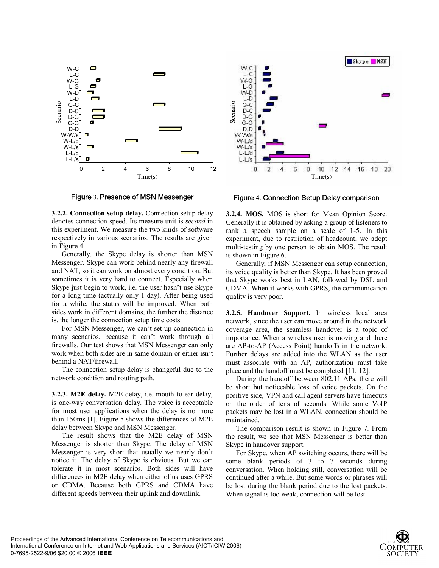

Figure 3. Presence of MSN Messenger

**3.2.2. Connection setup delay.** Connection setup delay denotes connection speed. Its measure unit is *second* in this experiment. We measure the two kinds of software respectively in various scenarios. The results are given in Figure 4.

Generally, the Skype delay is shorter than MSN Messenger. Skype can work behind nearly any firewall and NAT, so it can work on almost every condition. But sometimes it is very hard to connect. Especially when Skype just begin to work, i.e. the user hasn't use Skype for a long time (actually only 1 day). After being used for a while, the status will be improved. When both sides work in different domains, the further the distance is, the longer the connection setup time costs.

For MSN Messenger, we can't set up connection in many scenarios, because it can't work through all firewalls. Our test shows that MSN Messenger can only work when both sides are in same domain or either isn't behind a NAT/firewall.

The connection setup delay is changeful due to the network condition and routing path.

**3.2.3. M2E delay.** M2E delay, i.e. mouth-to-ear delay, is one-way conversation delay. The voice is acceptable for most user applications when the delay is no more than 150ms [1]. Figure 5 shows the differences of M2E delay between Skype and MSN Messenger.

The result shows that the M2E delay of MSN Messenger is shorter than Skype. The delay of MSN Messenger is very short that usually we nearly don't notice it. The delay of Skype is obvious. But we can tolerate it in most scenarios. Both sides will have differences in M2E delay when either of us uses GPRS or CDMA. Because both GPRS and CDMA have different speeds between their uplink and downlink.



Figure 4. Connection Setup Delay comparison

**3.2.4. MOS.** MOS is short for Mean Opinion Score. Generally it is obtained by asking a group of listeners to rank a speech sample on a scale of 1-5. In this experiment, due to restriction of headcount, we adopt multi-testing by one person to obtain MOS. The result is shown in Figure 6.

Generally, if MSN Messenger can setup connection, its voice quality is better than Skype. It has been proved that Skype works best in LAN, followed by DSL and CDMA. When it works with GPRS, the communication quality is very poor.

**3.2.5. Handover Support.** In wireless local area network, since the user can move around in the network coverage area, the seamless handover is a topic of importance. When a wireless user is moving and there are AP-to-AP (Access Point) handoffs in the network. Further delays are added into the WLAN as the user must associate with an AP, authorization must take place and the handoff must be completed [11, 12].

During the handoff between 802.11 APs, there will be short but noticeable loss of voice packets. On the positive side, VPN and call agent servers have timeouts on the order of tens of seconds. While some VoIP packets may be lost in a WLAN, connection should be maintained.

The comparison result is shown in Figure 7. From the result, we see that MSN Messenger is better than Skype in handover support.

For Skype, when AP switching occurs, there will be some blank periods of 3 to 7 seconds during conversation. When holding still, conversation will be continued after a while. But some words or phrases will be lost during the blank period due to the lost packets.

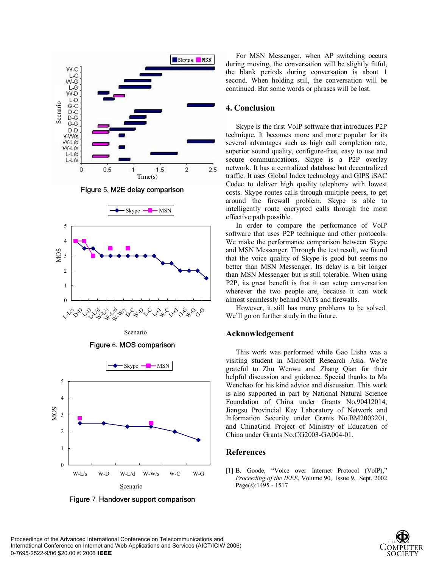

Figure 5.M2E delay comparison



Scenario

Figure 6.MOS comparison



Figure 7. Handover support comparison

For MSN Messenger, when AP switching occurs during moving, the conversation will be slightly fitful, the blank periods during conversation is about 1 second. When holding still, the conversation will be continued. But some words or phrases will be lost.

#### **4. Conclusion**

Skype is the first VoIP software that introduces P2P technique. It becomes more and more popular for its several advantages such as high call completion rate, superior sound quality, configure-free, easy to use and secure communications. Skype is a P2P overlay network. It has a centralized database but decentralized traffic. It uses Global Index technology and GIPS iSAC Codec to deliver high quality telephony with lowest costs. Skype routes calls through multiple peers, to get around the firewall problem. Skype is able to intelligently route encrypted calls through the most effective path possible.

In order to compare the performance of VoIP software that uses P2P technique and other protocols. We make the performance comparison between Skype and MSN Messenger. Through the test result, we found that the voice quality of Skype is good but seems no better than MSN Messenger. Its delay is a bit longer than MSN Messenger but is still tolerable. When using P2P, its great benefit is that it can setup conversation wherever the two people are, because it can work almost seamlessly behind NATs and firewalls.

However, it still has many problems to be solved. We'll go on further study in the future.

#### **Acknowledgement**

This work was performed while Gao Lisha was a visiting student in Microsoft Research Asia. We're grateful to Zhu Wenwu and Zhang Qian for their helpful discussion and guidance. Special thanks to Ma Wenchao for his kind advice and discussion. This work is also supported in part by National Natural Science Foundation of China under Grants No.90412014, Jiangsu Provincial Key Laboratory of Network and Information Security under Grants No.BM2003201, and ChinaGrid Project of Ministry of Education of China under Grants No.CG2003-GA004-01.

#### **References**

[1] B. Goode, "Voice over Internet Protocol (VoIP)," *Proceeding of the IEEE*, Volume 90, Issue 9, Sept. 2002 Page(s):1495 - 1517